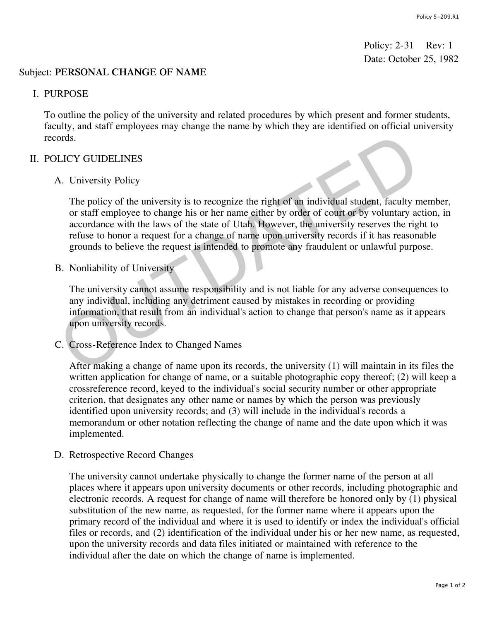Policy: 2-31 Rev: 1 Date: October 25, 1982

### Subject: **PERSONAL CHANGE OF NAME**

#### I. PURPOSE

To outline the policy of the university and related procedures by which present and former students, faculty, and staff employees may change the name by which they are identified on official university records.

### II. POLICY GUIDELINES

## A. University Policy

The policy of the university is to recognize the right of an individual student, faculty member, or staff employee to change his or her name either by order of court or by voluntary action, in accordance with the laws of the state of Utah. However, the university reserves the right to refuse to honor a request for a change of name upon university records if it has reasonable grounds to believe the request is intended to promote any fraudulent or unlawful purpose. ords.<br>
LICY GUIDELINES<br>
A. University Policy<br>
The policy of the university is to recognize the right of an individual student, faculty n<br>
or staff employee to change his or her name either by order of court or by voluntary

B. Nonliability of University

The university cannot assume responsibility and is not liable for any adverse consequences to any individual, including any detriment caused by mistakes in recording or providing information, that result from an individual's action to change that person's name as it appears upon university records.

C. Cross-Reference Index to Changed Names

After making a change of name upon its records, the university (1) will maintain in its files the written application for change of name, or a suitable photographic copy thereof; (2) will keep a crossreference record, keyed to the individual's social security number or other appropriate criterion, that designates any other name or names by which the person was previously identified upon university records; and (3) will include in the individual's records a memorandum or other notation reflecting the change of name and the date upon which it was implemented.

D. Retrospective Record Changes

The university cannot undertake physically to change the former name of the person at all places where it appears upon university documents or other records, including photographic and electronic records. A request for change of name will therefore be honored only by (1) physical substitution of the new name, as requested, for the former name where it appears upon the primary record of the individual and where it is used to identify or index the individual's official files or records, and (2) identification of the individual under his or her new name, as requested, upon the university records and data files initiated or maintained with reference to the individual after the date on which the change of name is implemented.